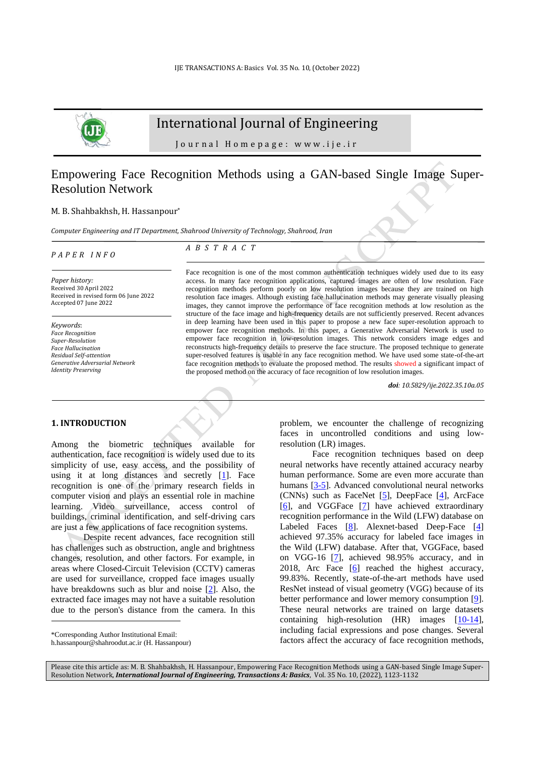

# International Journal of Engineering

Journal Homepage: www.ije.ir

# Empowering Face Recognition Methods using a GAN-based Single Image Super-Resolution Network

#### M. B. Shahbakhsh, H. Hassanpour\*

*Computer Engineering and IT Department, Shahrood University of Technology, Shahrood, Iran*

#### *P A P E R I N F O*

*A B S T R A C T*

*Paper history:* Received 30 April 2022 Received in revised form 06 June 2022 Accepted 07 June 2022

*Keywords*: *Face Recognition Super-Resolution Face Hallucination Residual Self-attention Generative Adversarial Network Identity Preserving*

Face recognition is one of the most common authentication techniques widely used due to its easy access. In many face recognition applications, captured images are often of low resolution. Face recognition methods perform poorly on low resolution images because they are trained on high resolution face images. Although existing face hallucination methods may generate visually pleasing images, they cannot improve the performance of face recognition methods at low resolution as the structure of the face image and high-frequency details are not sufficiently preserved. Recent advances in deep learning have been used in this paper to propose a new face super-resolution approach to empower face recognition methods. In this paper, a Generative Adversarial Network is used to empower face recognition in low-resolution images. This network considers image edges and reconstructs high-frequency details to preserve the face structure. The proposed technique to generate super-resolved features is usable in any face recognition method. We have used some state-of-the-art face recognition methods to evaluate the proposed method. The results showed a significant impact of the proposed method on the accuracy of face recognition of low resolution images.

*doi: 10.5829/ije.2022.35.10a.05*

### **1. INTRODUCTION<sup>1</sup>**

Among the biometric techniques available for authentication, face recognition is widely used due to its simplicity of use, easy access, and the possibility of using it at long distances and secretly [\[1\]](#page-6-0). Face recognition is one of the primary research fields in computer vision and plays an essential role in machine learning. Video surveillance, access control of buildings, criminal identification, and self-driving cars are just a few applications of face recognition systems.

Despite recent advances, face recognition still has challenges such as obstruction, angle and brightness changes, resolution, and other factors. For example, in areas where Closed-Circuit Television (CCTV) cameras are used for surveillance, cropped face images usually have breakdowns such as blur and noise [\[2\]](#page-6-1). Also, the extracted face images may not have a suitable resolution due to the person's distance from the camera. In this

\*Corresponding Author Institutional Email:

problem, we encounter the challenge of recognizing faces in uncontrolled conditions and using lowresolution (LR) images.

Face recognition techniques based on deep neural networks have recently attained accuracy nearby human performance. Some are even more accurate than humans [\[3-5\]](#page-6-2). Advanced convolutional neural networks (CNNs) such as FaceNet  $[5]$ , DeepFace  $[4]$ , ArcFace  $[6]$ , and VGGFace  $[7]$  have achieved extraordinary recognition performance in the Wild (LFW) database on Labeled Faces [\[8\]](#page-6-7). Alexnet-based Deep-Face [\[4\]](#page-6-4) achieved 97.35% accuracy for labeled face images in the Wild (LFW) database. After that, VGGFace, based on VGG-16 [\[7\]](#page-6-6), achieved 98.95% accuracy, and in 2018, Arc Face  $[6]$  reached the highest accuracy, 99.83%. Recently, state-of-the-art methods have used ResNet instead of visual geometry (VGG) because of its better performance and lower memory consumption [\[9\]](#page-6-8). These neural networks are trained on large datasets containing high-resolution (HR) images [\[10-14\]](#page-6-9), including facial expressions and pose changes. Several factors affect the accuracy of face recognition methods,

Please cite this article as: M. B. Shahbakhsh, H. Hassanpour, Empowering Face Recognition Methods using a GAN-based Single Image Super-Resolution Network, *International Journal of Engineering, Transactions A: Basics*, Vol. 35 No. 10, (2022), 1123-1132

h.hassanpour@shahroodut.ac.ir (H. Hassanpour)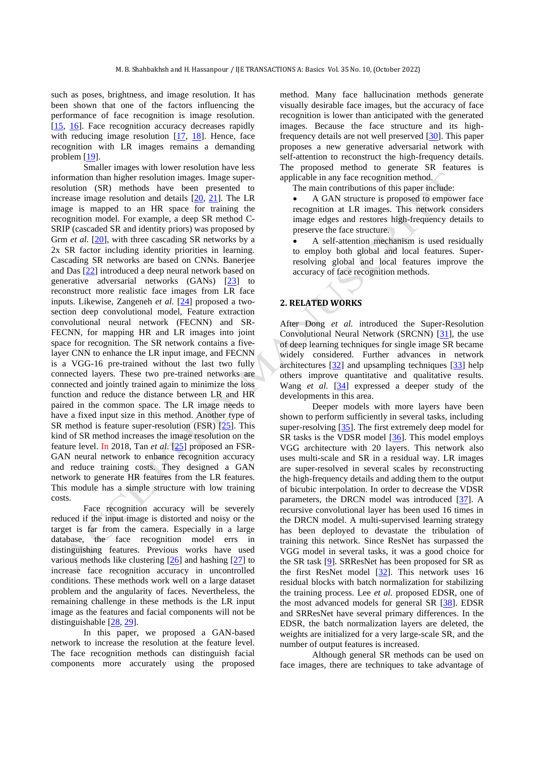such as poses, brightness, and image resolution. It has been shown that one of the factors influencing the performance of face recognition is image resolution. [\[15,](#page-6-10) [16\]](#page-6-11). Face recognition accuracy decreases rapidly with reducing image resolution [\[17,](#page-6-12) [18\]](#page-6-13). Hence, face recognition with LR images remains a demanding problem [\[19\]](#page-6-14).

Smaller images with lower resolution have less information than higher resolution images. Image superresolution (SR) methods have been presented to increase image resolution and details  $[20, 21]$  $[20, 21]$ . The LR image is mapped to an HR space for training the recognition model. For example, a deep SR method C-SRIP (cascaded SR and identity priors) was proposed by Grm *et al.* [\[20\]](#page-6-15), with three cascading SR networks by a 2x SR factor including identity priorities in learning. Cascading SR networks are based on CNNs. Banerjee and Das [\[22\]](#page-7-1) introduced a deep neural network based on generative adversarial networks (GANs) [\[23\]](#page-7-2) to reconstruct more realistic face images from LR face inputs. Likewise, Zangeneh *et al.* [\[24\]](#page-7-3) proposed a twosection deep convolutional model, Feature extraction convolutional neural network (FECNN) and SR-FECNN, for mapping HR and LR images into joint space for recognition. The SR network contains a fivelayer CNN to enhance the LR input image, and FECNN is a VGG-16 pre-trained without the last two fully connected layers. These two pre-trained networks are connected and jointly trained again to minimize the loss function and reduce the distance between LR and HR paired in the common space. The LR image needs to have a fixed input size in this method. Another type of SR method is feature super-resolution (FSR)  $[25]$ . This kind of SR method increases the image resolution on the feature level. In 2018, Tan *et al*. [\[25\]](#page-7-4) proposed an FSR-GAN neural network to enhance recognition accuracy and reduce training costs. They designed a GAN network to generate HR features from the LR features. This module has a simple structure with low training costs.

Face recognition accuracy will be severely reduced if the input image is distorted and noisy or the target is far from the camera. Especially in a large database, the face recognition model errs in distinguishing features. Previous works have used various methods like clustering [\[26\]](#page-7-5) and hashing [\[27\]](#page-7-6) to increase face recognition accuracy in uncontrolled conditions. These methods work well on a large dataset problem and the angularity of faces. Nevertheless, the remaining challenge in these methods is the LR input image as the features and facial components will not be distinguishable [\[28,](#page-7-7) [29\]](#page-7-8).

In this paper, we proposed a GAN-based network to increase the resolution at the feature level. The face recognition methods can distinguish facial components more accurately using the proposed method. Many face hallucination methods generate visually desirable face images, but the accuracy of face recognition is lower than anticipated with the generated images. Because the face structure and its highfrequency details are not well preserved [\[30\]](#page-7-9). This paper proposes a new generative adversarial network with self-attention to reconstruct the high-frequency details. The proposed method to generate SR features is applicable in any face recognition method.

The main contributions of this paper include:

• A GAN structure is proposed to empower face recognition at LR images. This network considers image edges and restores high-frequency details to preserve the face structure.

• A self-attention mechanism is used residually to employ both global and local features. Superresolving global and local features improve the accuracy of face recognition methods.

## **2. RELATED WORKS**

After Dong *et al.* introduced the Super-Resolution Convolutional Neural Network (SRCNN) [\[31\]](#page-7-10), the use of deep learning techniques for single image SR became widely considered. Further advances in network architectures [\[32\]](#page-7-11) and upsampling techniques [\[33\]](#page-7-12) help others improve quantitative and qualitative results. Wang *et al.* [\[34\]](#page-7-13) expressed a deeper study of the developments in this area.

Deeper models with more layers have been shown to perform sufficiently in several tasks, including super-resolving [\[35\]](#page-7-14). The first extremely deep model for SR tasks is the VDSR model  $[36]$ . This model employs VGG architecture with 20 layers. This network also uses multi-scale and SR in a residual way. LR images are super-resolved in several scales by reconstructing the high-frequency details and adding them to the output of bicubic interpolation. In order to decrease the VDSR parameters, the DRCN model was introduced [\[37\]](#page-7-16). A recursive convolutional layer has been used 16 times in the DRCN model. A multi-supervised learning strategy has been deployed to devastate the tribulation of training this network. Since ResNet has surpassed the VGG model in several tasks, it was a good choice for the SR task [\[9\]](#page-6-8). SRResNet has been proposed for SR as the first ResNet model  $[32]$ . This network uses 16 residual blocks with batch normalization for stabilizing the training process. Lee *et al.* proposed EDSR, one of the most advanced models for general SR [\[38\]](#page-7-17). EDSR and SRResNet have several primary differences. In the EDSR, the batch normalization layers are deleted, the weights are initialized for a very large-scale SR, and the number of output features is increased.

Although general SR methods can be used on face images, there are techniques to take advantage of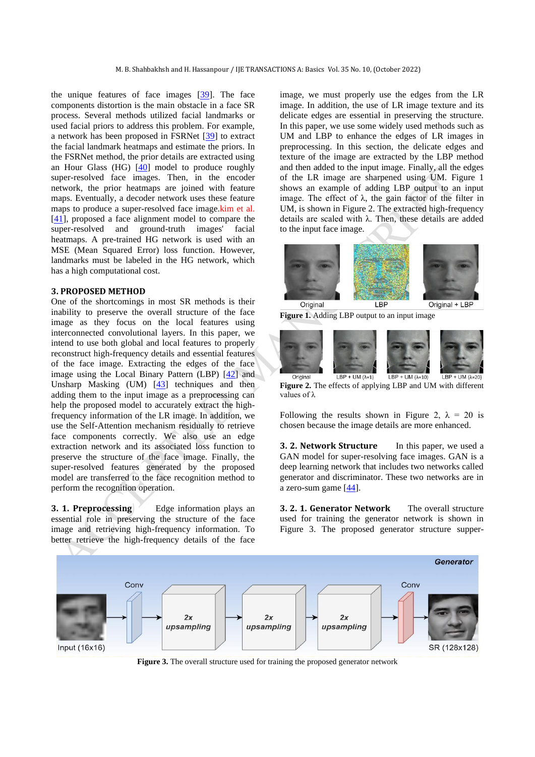the unique features of face images [\[39\]](#page-7-18). The face components distortion is the main obstacle in a face SR process. Several methods utilized facial landmarks or used facial priors to address this problem. For example, a network has been proposed in FSRNet [\[39\]](#page-7-18) to extract the facial landmark heatmaps and estimate the priors. In the FSRNet method, the prior details are extracted using an Hour Glass (HG)  $[40]$  model to produce roughly super-resolved face images. Then, in the encoder network, the prior heatmaps are joined with feature maps. Eventually, a decoder network uses these feature maps to produce a super-resolved face image.kim et al. [\[41\]](#page-7-20), proposed a face alignment model to compare the super-resolved and ground-truth images' facial heatmaps. A pre-trained HG network is used with an MSE (Mean Squared Error) loss function. However, landmarks must be labeled in the HG network, which has a high computational cost.

#### **3. PROPOSED METHOD**

One of the shortcomings in most SR methods is their inability to preserve the overall structure of the face image as they focus on the local features using interconnected convolutional layers. In this paper, we intend to use both global and local features to properly reconstruct high-frequency details and essential features of the face image. Extracting the edges of the face image using the Local Binary Pattern (LBP) [\[42\]](#page-7-21) and Unsharp Masking  $(UM)$   $[43]$  techniques and then adding them to the input image as a preprocessing can help the proposed model to accurately extract the highfrequency information of the LR image. In addition, we use the Self-Attention mechanism residually to retrieve face components correctly. We also use an edge extraction network and its associated loss function to preserve the structure of the face image. Finally, the super-resolved features generated by the proposed model are transferred to the face recognition method to perform the recognition operation.

**3. 1. Preprocessing** Edge information plays an essential role in preserving the structure of the face image and retrieving high-frequency information. To better retrieve the high-frequency details of the face image, we must properly use the edges from the LR image. In addition, the use of LR image texture and its delicate edges are essential in preserving the structure. In this paper, we use some widely used methods such as UM and LBP to enhance the edges of LR images in preprocessing. In this section, the delicate edges and texture of the image are extracted by the LBP method and then added to the input image. Finally, all the edges of the LR image are sharpened using UM. Figure 1 shows an example of adding LBP output to an input image. The effect of  $\lambda$ , the gain factor of the filter in UM, is shown in Figure 2. The extracted high-frequency details are scaled with λ. Then, these details are added to the input face image.



**Figure 1.** Adding LBP output to an input image



**Figure 2.** The effects of applying LBP and UM with different values of λ

Following the results shown in Figure 2,  $\lambda = 20$  is chosen because the image details are more enhanced.

**3. 2. Network Structure** In this paper, we used a GAN model for super-resolving face images. GAN is a deep learning network that includes two networks called generator and discriminator. These two networks are in a zero-sum game [\[44\]](#page-7-23).

**3. 2. 1. Generator Network** The overall structure used for training the generator network is shown in Figure 3. The proposed generator structure supper-



**Figure 3.** The overall structure used for training the proposed generator network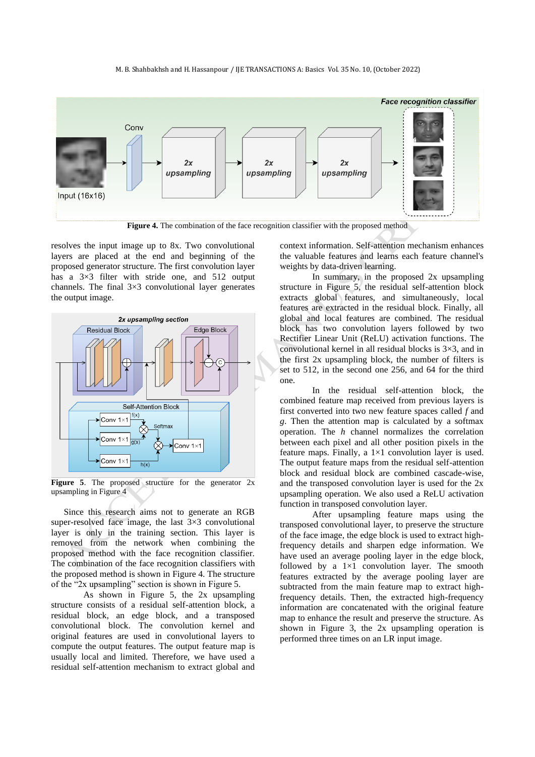#### M. B. Shahbakhsh and H. Hassanpour / IJE TRANSACTIONS A: Basics Vol. 35 No. 10, (October 2022)



resolves the input image up to 8x. Two convolutional layers are placed at the end and beginning of the proposed generator structure. The first convolution layer has a 3×3 filter with stride one, and 512 output channels. The final 3×3 convolutional layer generates the output image.



Figure 5. The proposed structure for the generator 2x upsampling in Figure 4

Since this research aims not to generate an RGB super-resolved face image, the last  $3\times3$  convolutional layer is only in the training section. This layer is removed from the network when combining the proposed method with the face recognition classifier. The combination of the face recognition classifiers with the proposed method is shown in Figure 4. The structure of the "2x upsampling" section is shown in Figure 5.

As shown in Figure 5, the 2x upsampling structure consists of a residual self-attention block, a residual block, an edge block, and a transposed convolutional block. The convolution kernel and original features are used in convolutional layers to compute the output features. The output feature map is usually local and limited. Therefore, we have used a residual self-attention mechanism to extract global and context information. Self-attention mechanism enhances the valuable features and learns each feature channel's weights by data-driven learning.

In summary, in the proposed 2x upsampling structure in Figure 5, the residual self-attention block extracts global features, and simultaneously, local features are extracted in the residual block. Finally, all global and local features are combined. The residual block has two convolution layers followed by two Rectifier Linear Unit (ReLU) activation functions. The convolutional kernel in all residual blocks is 3×3, and in the first 2x upsampling block, the number of filters is set to 512, in the second one 256, and 64 for the third one.

In the residual self-attention block, the combined feature map received from previous layers is first converted into two new feature spaces called *f* and *g*. Then the attention map is calculated by a softmax operation. The *h* channel normalizes the correlation between each pixel and all other position pixels in the feature maps. Finally, a  $1\times1$  convolution layer is used. The output feature maps from the residual self-attention block and residual block are combined cascade-wise, and the transposed convolution layer is used for the 2x upsampling operation. We also used a ReLU activation function in transposed convolution layer.

After upsampling feature maps using the transposed convolutional layer, to preserve the structure of the face image, the edge block is used to extract highfrequency details and sharpen edge information. We have used an average pooling layer in the edge block, followed by a  $1\times1$  convolution layer. The smooth features extracted by the average pooling layer are subtracted from the main feature map to extract highfrequency details. Then, the extracted high-frequency information are concatenated with the original feature map to enhance the result and preserve the structure. As shown in Figure 3, the 2x upsampling operation is performed three times on an LR input image.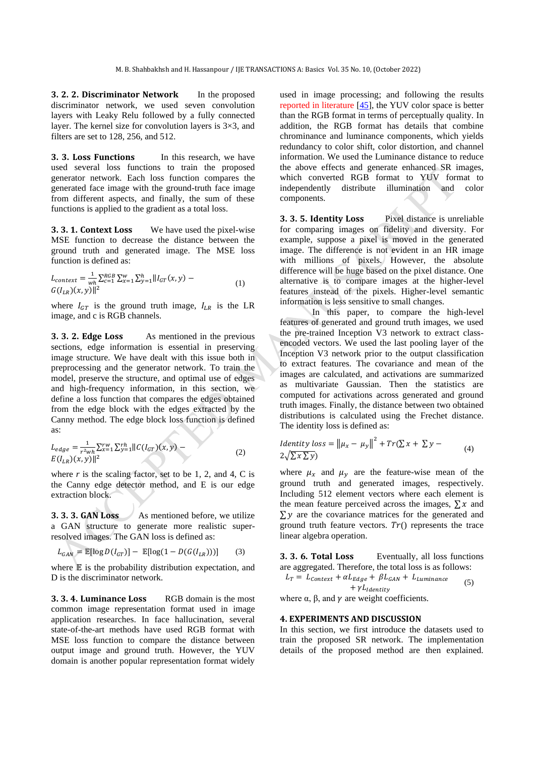**3. 2. 2. Discriminator Network** In the proposed discriminator network, we used seven convolution layers with Leaky Relu followed by a fully connected layer. The kernel size for convolution layers is  $3\times3$ , and filters are set to 128, 256, and 512.

**3. 3. Loss Functions** In this research, we have used several loss functions to train the proposed generator network. Each loss function compares the generated face image with the ground-truth face image from different aspects, and finally, the sum of these functions is applied to the gradient as a total loss.

**3. 3. 1. Context Loss** We have used the pixel-wise MSE function to decrease the distance between the ground truth and generated image. The MSE loss function is defined as:

$$
L_{context} = \frac{1}{wh} \sum_{c=1}^{RGB} \sum_{x=1}^{w} \sum_{y=1}^{h} ||I_{GT}(x, y) - G(I_{LR})(x, y)||^2
$$
\n(1)

where  $I_{GT}$  is the ground truth image,  $I_{LR}$  is the LR image, and c is RGB channels.

**3. 3. 2. Edge Loss** As mentioned in the previous sections, edge information is essential in preserving image structure. We have dealt with this issue both in preprocessing and the generator network. To train the model, preserve the structure, and optimal use of edges and high-frequency information, in this section, we define a loss function that compares the edges obtained from the edge block with the edges extracted by the Canny method. The edge block loss function is defined as:

$$
L_{edge} = \frac{1}{r^2wh} \sum_{x=1}^{rw} \sum_{y=1}^{rh} ||C(I_{GT})(x, y) - E(I_{LR})(x, y)||^2
$$
\n
$$
(2)
$$

where  $r$  is the scaling factor, set to be 1, 2, and 4, C is the Canny edge detector method, and E is our edge extraction block.

**3. 3. 3. GAN Loss** As mentioned before, we utilize a GAN structure to generate more realistic superresolved images. The GAN loss is defined as:

$$
L_{GAN} = \mathbb{E}[\log D(I_{GT})] - \mathbb{E}[\log(1 - D(G(I_{LR})))]
$$
 (3)

where  $E$  is the probability distribution expectation, and D is the discriminator network.

**3. 3. 4. Luminance Loss** RGB domain is the most common image representation format used in image application researches. In face hallucination, several state-of-the-art methods have used RGB format with MSE loss function to compare the distance between output image and ground truth. However, the YUV domain is another popular representation format widely

used in image processing; and following the results reported in literature [\[45\]](#page-7-24), the YUV color space is better than the RGB format in terms of perceptually quality. In addition, the RGB format has details that combine chrominance and luminance components, which yields redundancy to color shift, color distortion, and channel information. We used the Luminance distance to reduce the above effects and generate enhanced SR images, which converted RGB format to YUV format to independently distribute illumination and color components.

**3. 3. 5. Identity Loss** Pixel distance is unreliable for comparing images on fidelity and diversity. For example, suppose a pixel is moved in the generated image. The difference is not evident in an HR image with millions of pixels. However, the absolute difference will be huge based on the pixel distance. One alternative is to compare images at the higher-level features instead of the pixels. Higher-level semantic information is less sensitive to small changes.

In this paper, to compare the high-level features of generated and ground truth images, we used the pre-trained Inception V3 network to extract classencoded vectors. We used the last pooling layer of the Inception V3 network prior to the output classification to extract features. The covariance and mean of the images are calculated, and activations are summarized as multivariate Gaussian. Then the statistics are computed for activations across generated and ground truth images. Finally, the distance between two obtained distributions is calculated using the Frechet distance. The identity loss is defined as:

Identity loss = 
$$
\|\mu_x - \mu_y\|^2 + Tr(\sum x + \sum y - 4)
$$
 (4)

where  $\mu_x$  and  $\mu_y$  are the feature-wise mean of the ground truth and generated images, respectively. Including 512 element vectors where each element is the mean feature perceived across the images,  $\sum x$  and  $\Sigma y$  are the covariance matrices for the generated and ground truth feature vectors.  $Tr()$  represents the trace linear algebra operation.

**3. 3. 6. Total Loss** Eventually, all loss functions are aggregated. Therefore, the total loss is as follows:<br> $I = I + \alpha I = + R I = + I$ 

$$
L_T = L_{Context} + \alpha L_{Edge} + \beta L_{GAN} + L_{Luminance} + \gamma L_{Identity}
$$
\n(5)

where  $\alpha$ ,  $\beta$ , and  $\gamma$  are weight coefficients.

#### **4. EXPERIMENTS AND DISCUSSION**

In this section, we first introduce the datasets used to train the proposed SR network. The implementation details of the proposed method are then explained.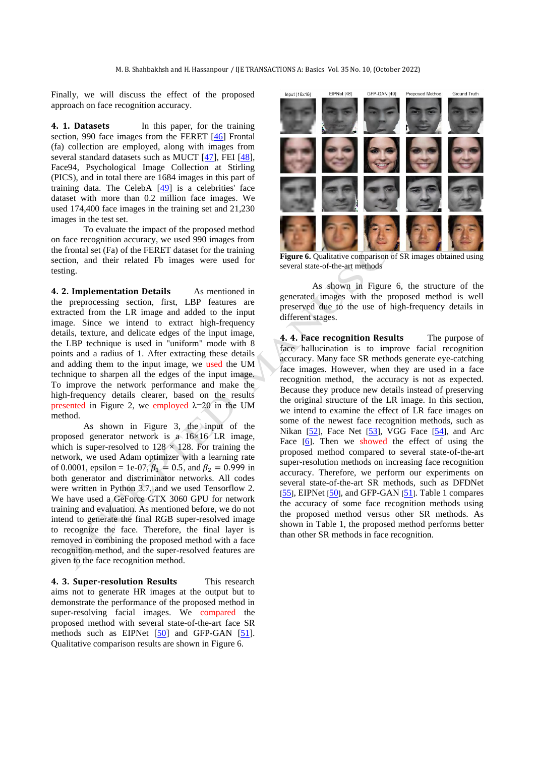Finally, we will discuss the effect of the proposed approach on face recognition accuracy.

**4. 1. Datasets** In this paper, for the training section, 990 face images from the FERET [\[46\]](#page-7-25) Frontal (fa) collection are employed, along with images from several standard datasets such as MUCT [\[47\]](#page-7-26), FEI [\[48\]](#page-7-27), Face94, Psychological Image Collection at Stirling (PICS), and in total there are 1684 images in this part of training data. The CelebA  $[49]$  is a celebrities' face dataset with more than 0.2 million face images. We used 174,400 face images in the training set and 21,230 images in the test set.

To evaluate the impact of the proposed method on face recognition accuracy, we used 990 images from the frontal set (Fa) of the FERET dataset for the training section, and their related Fb images were used for testing.

**4. 2. Implementation Details** As mentioned in the preprocessing section, first, LBP features are extracted from the LR image and added to the input image. Since we intend to extract high-frequency details, texture, and delicate edges of the input image, the LBP technique is used in "uniform" mode with 8 points and a radius of 1. After extracting these details and adding them to the input image, we used the UM technique to sharpen all the edges of the input image. To improve the network performance and make the high-frequency details clearer, based on the results presented in Figure 2, we employed  $\lambda = 20$  in the UM method.

As shown in Figure 3, the input of the proposed generator network is a 16×16 LR image, which is super-resolved to  $128 \times 128$ . For training the network, we used Adam optimizer with a learning rate of 0.0001, epsilon = 1e-07,  $\beta_1 = 0.5$ , and  $\beta_2 = 0.999$  in both generator and discriminator networks. All codes were written in Python 3.7, and we used Tensorflow 2. We have used a GeForce GTX 3060 GPU for network training and evaluation. As mentioned before, we do not intend to generate the final RGB super-resolved image to recognize the face. Therefore, the final layer is removed in combining the proposed method with a face recognition method, and the super-resolved features are given to the face recognition method.

**4. 3. Super-resolution Results** This research aims not to generate HR images at the output but to demonstrate the performance of the proposed method in super-resolving facial images. We compared the proposed method with several state-of-the-art face SR methods such as EIPNet [\[50\]](#page-7-29) and GFP-GAN [\[51\]](#page-7-30). Qualitative comparison results are shown in Figure 6.



**Figure 6.** Qualitative comparison of SR images obtained using several state-of-the-art methods

As shown in Figure 6, the structure of the generated images with the proposed method is well preserved due to the use of high-frequency details in different stages.

**4. 4. Face recognition Results** The purpose of face hallucination is to improve facial recognition accuracy. Many face SR methods generate eye-catching face images. However, when they are used in a face recognition method, the accuracy is not as expected. Because they produce new details instead of preserving the original structure of the LR image. In this section, we intend to examine the effect of LR face images on some of the newest face recognition methods, such as Nikan [[52](#page-7-31)], Face Net [[53](#page-8-0)], VGG Face [[54](#page-8-1)], and Arc Face [[6](#page-6-5)]. Then we showed the effect of using the proposed method compared to several state-of-the-art super-resolution methods on increasing face recognition accuracy. Therefore, we perform our experiments on several state-of-the-art SR methods, such as DFDNet  $[55]$  $[55]$  $[55]$ , EIPNet  $[50]$  $[50]$  $[50]$ , and GFP-GAN  $[51]$  $[51]$  $[51]$ . Table 1 compares the accuracy of some face recognition methods using the proposed method versus other SR methods. As shown in Table 1, the proposed method performs better than other SR methods in face recognition.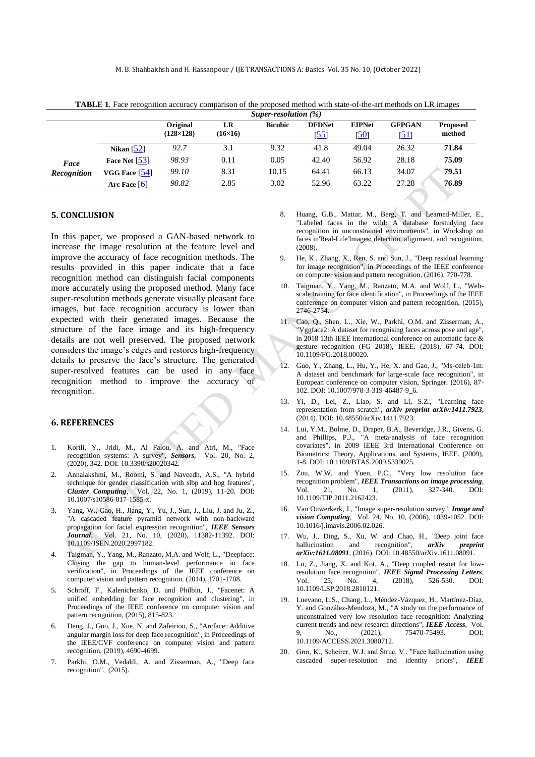M. B. Shahbakhsh and H. Hassanpour / IJE TRANSACTIONS A: Basics Vol. 35 No. 10, (October 2022)

**TABLE 1**. Face recognition accuracy comparison of the proposed method with state-of-the-art methods on LR images

|                            |                         | Super-resolution $(\%)$      |                      |                |                       |                       |                              |                           |
|----------------------------|-------------------------|------------------------------|----------------------|----------------|-----------------------|-----------------------|------------------------------|---------------------------|
|                            |                         | Original<br>$(128\times128)$ | LR<br>$(16\times16)$ | <b>Bicubic</b> | <b>DFDNet</b><br>[55] | <b>EIPNet</b><br>[50] | <b>GFPGAN</b><br><u>[51]</u> | <b>Proposed</b><br>method |
| Face<br><b>Recognition</b> | Nikan $\left[52\right]$ | 92.7                         | 3.1                  | 9.32           | 41.8                  | 49.04                 | 26.32                        | 71.84                     |
|                            | Face Net $[53]$         | 98.93                        | 0.11                 | 0.05           | 42.40                 | 56.92                 | 28.18                        | 75.09                     |
|                            | VGG Face $[54]$         | 99.10                        | 8.31                 | 10.15          | 64.41                 | 66.13                 | 34.07                        | 79.51                     |
|                            | Arc Face $[6]$          | 98.82                        | 2.85                 | 3.02           | 52.96                 | 63.22                 | 27.28                        | 76.89                     |
|                            |                         |                              |                      |                |                       |                       |                              |                           |

### **5. CONCLUSION**

In this paper, we proposed a GAN-based network to increase the image resolution at the feature level and improve the accuracy of face recognition methods. The results provided in this paper indicate that a face recognition method can distinguish facial components more accurately using the proposed method. Many face super-resolution methods generate visually pleasant face images, but face recognition accuracy is lower than expected with their generated images. Because the structure of the face image and its high-frequency details are not well preserved. The proposed network considers the image's edges and restores high-frequency details to preserve the face's structure. The generated super-resolved features can be used in any face recognition method to improve the accuracy of recognition.

### **6. REFERENCES**

- <span id="page-6-0"></span>1. Kortli, Y., Jridi, M., Al Falou, A. and Atri, M., "Face recognition systems: A survey", *Sensors*, Vol. 20, No. 2, (2020), 342. DOI: 10.3390/s20020342.
- <span id="page-6-1"></span>2. Annalakshmi, M., Roomi, S. and Naveedh, A.S., "A hybrid technique for gender classification with slbp and hog features", *Cluster Computing*, Vol. 22, No. 1, (2019), 11-20. DOI: 10.1007/s10586-017-1585-x.
- <span id="page-6-2"></span>3. Yang, W., Gao, H., Jiang, Y., Yu, J., Sun, J., Liu, J. and Ju, Z., "A cascaded feature pyramid network with non-backward propagation for facial expression recognition", *IEEE Sensors Journal*, Vol. 21, No. 10, (2020), 11382-11392. DOI: 10.1109/JSEN.2020.2997182.
- <span id="page-6-4"></span>4. Taigman, Y., Yang, M., Ranzato, M.A. and Wolf, L., "Deepface: Closing the gap to human-level performance in face verification", in Proceedings of the IEEE conference on computer vision and pattern recognition. (2014), 1701-1708.
- <span id="page-6-3"></span>5. Schroff, F., Kalenichenko, D. and Philbin, J., "Facenet: A unified embedding for face recognition and clustering", in Proceedings of the IEEE conference on computer vision and pattern recognition, (2015), 815-823.
- <span id="page-6-5"></span>6. Deng, J., Guo, J., Xue, N. and Zafeiriou, S., "Arcface: Additive angular margin loss for deep face recognition", in Proceedings of the IEEE/CVF conference on computer vision and pattern recognition, (2019), 4690-4699.
- <span id="page-6-6"></span>7. Parkhi, O.M., Vedaldi, A. and Zisserman, A., "Deep face recognition", (2015).
- <span id="page-6-7"></span>8. Huang, G.B., Mattar, M., Berg, T. and Learned-Miller, E., "Labeled faces in the wild: A database forstudying face recognition in unconstrained environments", in Workshop on faces in'Real-Life'Images: detection, alignment, and recognition, (2008).
- <span id="page-6-8"></span>9. He, K., Zhang, X., Ren, S. and Sun, J., "Deep residual learning for image recognition", in Proceedings of the IEEE conference on computer vision and pattern recognition, (2016), 770-778.
- <span id="page-6-9"></span>10. Taigman, Y., Yang, M., Ranzato, M.A. and Wolf, L., "Webscale training for face identification", in Proceedings of the IEEE conference on computer vision and pattern recognition, (2015), 2746-2754.
- 11. Cao, Q., Shen, L., Xie, W., Parkhi, O.M. and Zisserman, A., "Vggface2: A dataset for recognising faces across pose and age", in 2018 13th IEEE international conference on automatic face & gesture recognition (FG 2018), IEEE. (2018), 67-74. DOI: 10.1109/FG.2018.00020.
- 12. Guo, Y., Zhang, L., Hu, Y., He, X. and Gao, J., "Ms-celeb-1m: A dataset and benchmark for large-scale face recognition", in European conference on computer vision, Springer. (2016), 87- 102. DOI: 10.1007/978-3-319-46487-9\_6.
- 13. Yi, D., Lei, Z., Liao, S. and Li, S.Z., "Learning face representation from scratch", *arXiv preprint arXiv:1411.7923*, (2014). DOI: 10.48550/arXiv.1411.7923.
- 14. Lui, Y.M., Bolme, D., Draper, B.A., Beveridge, J.R., Givens, G. and Phillips, P.J., "A meta-analysis of face recognition covariates", in 2009 IEEE 3rd International Conference on Biometrics: Theory, Applications, and Systems, IEEE. (2009), 1-8. DOI: 10.1109/BTAS.2009.5339025.
- <span id="page-6-10"></span>15. Zou, W.W. and Yuen, P.C., "Very low resolution face recognition problem", *IEEE Transactions on image processing*, Vol. 21, No. 1, (2011), 327-340. DOI: 10.1109/TIP.2011.2162423.
- <span id="page-6-11"></span>16. Van Ouwerkerk, J., "Image super-resolution survey", *Image and vision Computing*, Vol. 24, No. 10, (2006), 1039-1052. DOI: 10.1016/j.imavis.2006.02.026.
- <span id="page-6-12"></span>17. Wu, J., Ding, S., Xu, W. and Chao, H., "Deep joint face hallucination and recognition", *arXiv preprint arXiv:1611.08091*, (2016). DOI: 10.48550/arXiv.1611.08091.
- <span id="page-6-13"></span>18. Lu, Z., Jiang, X. and Kot, A., "Deep coupled resnet for lowresolution face recognition", *IEEE Signal Processing Letters*, Vol. 25, No. 4, (2018), 526-530. DOI: Vol. 25, No. 4, (2018), 526-530. DOI: 10.1109/LSP.2018.2810121.
- <span id="page-6-14"></span>19. Luevano, L.S., Chang, L., Méndez-Vázquez, H., Martínez-Díaz, Y. and González-Mendoza, M., "A study on the performance of unconstrained very low resolution face recognition: Analyzing current trends and new research directions", *IEEE Access*, Vol.<br>9, No., (2021), 75470-75493. DOI: 9, No., (2021), 75470-75493. 10.1109/ACCESS.2021.3080712.
- <span id="page-6-15"></span>20. Grm, K., Scheirer, W.J. and Štruc, V., "Face hallucination using cascaded super-resolution and identity priors", *IEEE*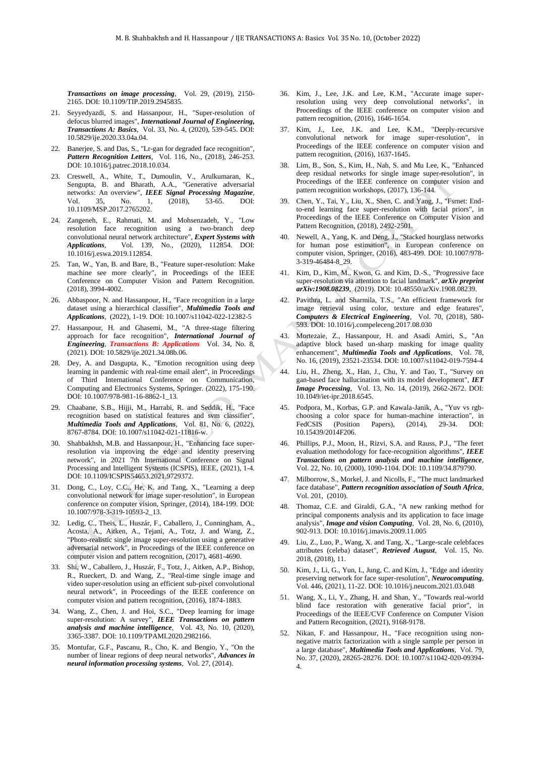*Transactions on image processing*, Vol. 29, (2019), 2150- 2165. DOI: 10.1109/TIP.2019.2945835.

- <span id="page-7-0"></span>21. Seyyedyazdi, S. and Hassanpour, H., "Super-resolution of defocus blurred images", *International Journal of Engineering, Transactions A: Basics*, Vol. 33, No. 4, (2020), 539-545. DOI: 10.5829/ije.2020.33.04a.04.
- <span id="page-7-1"></span>22. Banerjee, S. and Das, S., "Lr-gan for degraded face recognition", *Pattern Recognition Letters*, Vol. 116, No., (2018), 246-253. DOI: 10.1016/j.patrec.2018.10.034.
- <span id="page-7-2"></span>23. Creswell, A., White, T., Dumoulin, V., Arulkumaran, K., Sengupta, B. and Bharath, A.A., "Generative adversarial networks: An overview", *IEEE Signal Processing Magazine*, Vol. 35, No. 1, (2018), 53-65. DOI: 10.1109/MSP.2017.2765202.
- <span id="page-7-3"></span>24. Zangeneh, E., Rahmati, M. and Mohsenzadeh, Y., "Low resolution face recognition using a two-branch deep convolutional neural network architecture", *Expert Systems with Applications*, Vol. 139, No., (2020), 112854. DOI: 10.1016/j.eswa.2019.112854.
- <span id="page-7-4"></span>25. Tan, W., Yan, B. and Bare, B., "Feature super-resolution: Make machine see more clearly", in Proceedings of the IEEE Conference on Computer Vision and Pattern Recognition. (2018), 3994-4002.
- <span id="page-7-5"></span>26. Abbaspoor, N. and Hassanpour, H., "Face recognition in a large dataset using a hierarchical classifier", *Multimedia Tools and Applications*, (2022), 1-19. DOI: 10.1007/s11042-022-12382-5
- <span id="page-7-6"></span>27. Hassanpour, H. and Ghasemi, M., "A three-stage filtering approach for face recognition", *International Journal of Engineering*, *Transactions B: Applications* Vol. 34, No. 8, (2021). DOI: 10.5829/ije.2021.34.08b.06.
- <span id="page-7-7"></span>28. Dey, A. and Dasgupta, K., "Emotion recognition using deep learning in pandemic with real-time email alert", in Proceedings of Third International Conference on Communication, Computing and Electronics Systems, Springer. (2022), 175-190. DOI: 10.1007/978-981-16-8862-1\_13.
- <span id="page-7-8"></span>29. Chaabane, S.B., Hijji, M., Harrabi, R. and Seddik, H., "Face recognition based on statistical features and svm classifier", *Multimedia Tools and Applications*, Vol. 81, No. 6, (2022), 8767-8784. DOI: 10.1007/s11042-021-11816-w.
- <span id="page-7-9"></span>30. Shahbakhsh, M.B. and Hassanpour, H., "Enhancing face superresolution via improving the edge and identity preserving network", in 2021 7th International Conference on Signal Processing and Intelligent Systems (ICSPIS), IEEE, (2021), 1-4. DOI: 10.1109/ICSPIS54653.2021.9729372.
- <span id="page-7-10"></span>31. Dong, C., Loy, C.C., He, K. and Tang, X., "Learning a deep convolutional network for image super-resolution", in European conference on computer vision, Springer, (2014), 184-199. DOI: 10.1007/978-3-319-10593-2\_13.
- <span id="page-7-11"></span>32. Ledig, C., Theis, L., Huszár, F., Caballero, J., Cunningham, A., Acosta, A., Aitken, A., Tejani, A., Totz, J. and Wang, Z., "Photo-realistic single image super-resolution using a generative adversarial network", in Proceedings of the IEEE conference on computer vision and pattern recognition, (2017), 4681-4690.
- <span id="page-7-12"></span>33. Shi, W., Caballero, J., Huszár, F., Totz, J., Aitken, A.P., Bishop, R., Rueckert, D. and Wang, Z., "Real-time single image and video super-resolution using an efficient sub-pixel convolutional neural network", in Proceedings of the IEEE conference on computer vision and pattern recognition, (2016), 1874-1883.
- <span id="page-7-13"></span>34. Wang, Z., Chen, J. and Hoi, S.C., "Deep learning for image super-resolution: A survey", *IEEE Transactions on pattern analysis and machine intelligence*, Vol. 43, No. 10, (2020), 3365-3387. DOI: 10.1109/TPAMI.2020.2982166.
- <span id="page-7-14"></span>35. Montufar, G.F., Pascanu, R., Cho, K. and Bengio, Y., "On the number of linear regions of deep neural networks", *Advances in neural information processing systems*, Vol. 27, (2014).
- <span id="page-7-15"></span>36. Kim, J., Lee, J.K. and Lee, K.M., "Accurate image superresolution using very deep convolutional networks", in Proceedings of the IEEE conference on computer vision and pattern recognition, (2016), 1646-1654.
- <span id="page-7-16"></span>37. Kim, J., Lee, J.K. and Lee, K.M., "Deeply-recursive convolutional network for image super-resolution", in Proceedings of the IEEE conference on computer vision and pattern recognition, (2016), 1637-1645.
- <span id="page-7-17"></span>38. Lim, B., Son, S., Kim, H., Nah, S. and Mu Lee, K., "Enhanced deep residual networks for single image super-resolution", in Proceedings of the IEEE conference on computer vision and pattern recognition workshops, (2017), 136-144.
- <span id="page-7-18"></span>39. Chen, Y., Tai, Y., Liu, X., Shen, C. and Yang, J., "Fsrnet: Endto-end learning face super-resolution with facial priors", in Proceedings of the IEEE Conference on Computer Vision and Pattern Recognition, (2018), 2492-2501.
- <span id="page-7-19"></span>Newell, A., Yang, K. and Deng, J., "Stacked hourglass networks for human pose estimation", in European conference on computer vision, Springer, (2016), 483-499. DOI: 10.1007/978-3-319-46484-8\_29.
- <span id="page-7-20"></span>41. Kim, D., Kim, M., Kwon, G. and Kim, D.-S., "Progressive face super-resolution via attention to facial landmark", *arXiv preprint arXiv:1908.08239*, (2019). DOI: 10.48550/arXiv.1908.08239.
- <span id="page-7-21"></span>42. Pavithra, L. and Sharmila, T.S., "An efficient framework for image retrieval using color, texture and edge features", *Computers & Electrical Engineering*, Vol. 70, (2018), 580- 593. DOI: 10.1016/j.compeleceng.2017.08.030
- <span id="page-7-22"></span>43. Mortezaie, Z., Hassanpour, H. and Asadi Amiri, S., "An adaptive block based un-sharp masking for image quality enhancement", *Multimedia Tools and Applications*, Vol. 78, No. 16, (2019), 23521-23534. DOI: 10.1007/s11042-019-7594-4
- <span id="page-7-23"></span>44. Liu, H., Zheng, X., Han, J., Chu, Y. and Tao, T., "Survey on gan-based face hallucination with its model development", *IET Image Processing*, Vol. 13, No. 14, (2019), 2662-2672. DOI: 10.1049/iet-ipr.2018.6545.
- <span id="page-7-24"></span>45. Podpora, M., Korbas, G.P. and Kawala-Janik, A., "Yuv vs rgbchoosing a color space for human-machine interaction", in FedCSIS (Position Papers), (2014), 29-34. DOI: 10.15439/2014F206.
- <span id="page-7-25"></span>46. Phillips, P.J., Moon, H., Rizvi, S.A. and Rauss, P.J., "The feret evaluation methodology for face-recognition algorithms", *IEEE Transactions on pattern analysis and machine intelligence*, Vol. 22, No. 10, (2000), 1090-1104. DOI: 10.1109/34.879790.
- <span id="page-7-26"></span>47. Milborrow, S., Morkel, J. and Nicolls, F., "The muct landmarked face database", *Pattern recognition association of South Africa*, Vol. 201, (2010).
- <span id="page-7-27"></span>48. Thomaz, C.E. and Giraldi, G.A., "A new ranking method for principal components analysis and its application to face image analysis", *Image and vision Computing*, Vol. 28, No. 6, (2010), 902-913. DOI: 10.1016/j.imavis.2009.11.005
- <span id="page-7-28"></span>49. Liu, Z., Luo, P., Wang, X. and Tang, X., "Large-scale celebfaces attributes (celeba) dataset", *Retrieved August*, Vol. 15, No. 2018, (2018), 11.
- <span id="page-7-29"></span>50. Kim, J., Li, G., Yun, I., Jung, C. and Kim, J., "Edge and identity preserving network for face super-resolution", *Neurocomputing*, Vol. 446, (2021), 11-22. DOI: 10.1016/j.neucom.2021.03.048
- <span id="page-7-30"></span>51. Wang, X., Li, Y., Zhang, H. and Shan, Y., "Towards real-world blind face restoration with generative facial prior", in Proceedings of the IEEE/CVF Conference on Computer Vision and Pattern Recognition, (2021), 9168-9178.
- <span id="page-7-31"></span>52. Nikan, F. and Hassanpour, H., "Face recognition using nonnegative matrix factorization with a single sample per person in a large database", *Multimedia Tools and Applications*, Vol. 79, No. 37, (2020), 28265-28276. DOI: 10.1007/s11042-020-09394- 4.